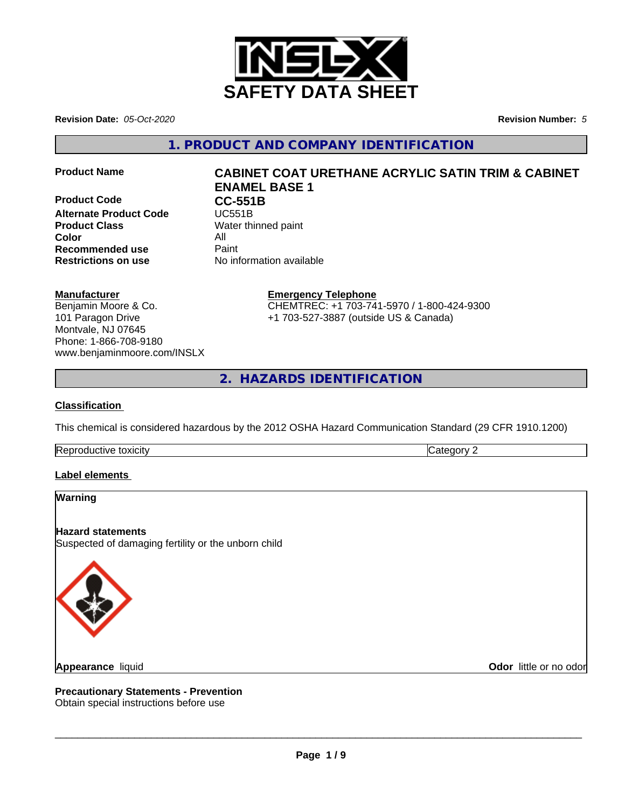

**Revision Date:** *05-Oct-2020* **Revision Number:** *5*

**1. PRODUCT AND COMPANY IDENTIFICATION**

**Product Code CC-551B**<br> **Alternate Product Code CC-551B Alternate Product Code Product Class** Water thinned paint **Color** All **All**<br> **Recommended use** Paint **Recommended use Restrictions on use** No information available

# **Product Name CABINET COAT URETHANE ACRYLIC SATIN TRIM & CABINET ENAMEL BASE 1**

## **Manufacturer**

Benjamin Moore & Co. 101 Paragon Drive Montvale, NJ 07645 Phone: 1-866-708-9180 www.benjaminmoore.com/INSLX

## **Emergency Telephone**

CHEMTREC: +1 703-741-5970 / 1-800-424-9300 +1 703-527-3887 (outside US & Canada)

**2. HAZARDS IDENTIFICATION**

## **Classification**

This chemical is considered hazardous by the 2012 OSHA Hazard Communication Standard (29 CFR 1910.1200)

Reproductive toxicity **Category 2 Category 2** 

## **Label elements**

## **Warning**

**Hazard statements** Suspected of damaging fertility or the unborn child



**Appearance** liquid

**Odor** little or no odor

**Precautionary Statements - Prevention** Obtain special instructions before use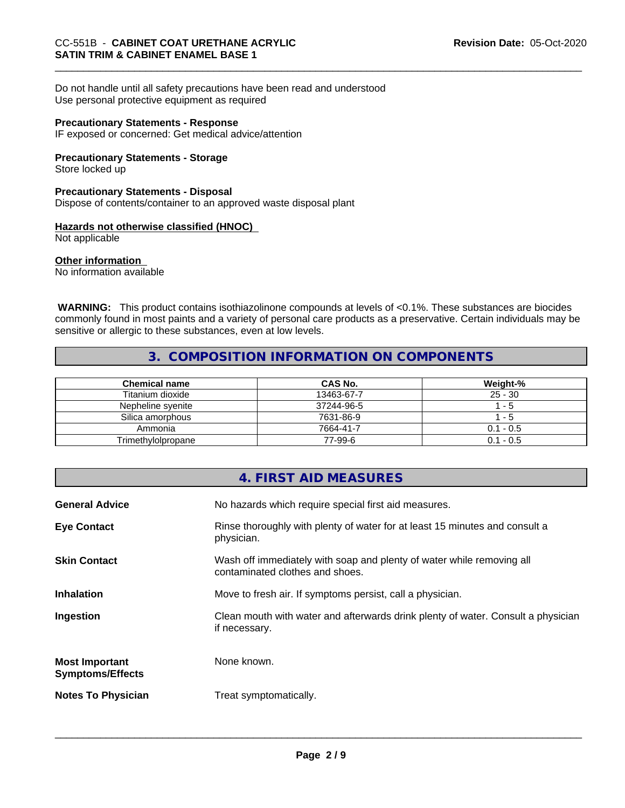Do not handle until all safety precautions have been read and understood Use personal protective equipment as required

#### **Precautionary Statements - Response**

IF exposed or concerned: Get medical advice/attention

## **Precautionary Statements - Storage**

Store locked up

## **Precautionary Statements - Disposal**

Dispose of contents/container to an approved waste disposal plant

## **Hazards not otherwise classified (HNOC)**

Not applicable

## **Other information**

No information available

 **WARNING:** This product contains isothiazolinone compounds at levels of <0.1%. These substances are biocides commonly found in most paints and a variety of personal care products as a preservative. Certain individuals may be sensitive or allergic to these substances, even at low levels.

## **3. COMPOSITION INFORMATION ON COMPONENTS**

| <b>Chemical name</b> | <b>CAS No.</b> | Weight-%    |
|----------------------|----------------|-------------|
| Titanium dioxide     | 13463-67-7     | $25 - 30$   |
| Nepheline svenite    | 37244-96-5     | - 5         |
| Silica amorphous     | 7631-86-9      | - 5         |
| Ammonia              | 7664-41-7      | $0.1 - 0.5$ |
| Trimethylolpropane   | 77-99-6        | $0.1 - 0.5$ |

|                                                  | 4. FIRST AID MEASURES                                                                                    |
|--------------------------------------------------|----------------------------------------------------------------------------------------------------------|
| <b>General Advice</b>                            | No hazards which require special first aid measures.                                                     |
| <b>Eye Contact</b>                               | Rinse thoroughly with plenty of water for at least 15 minutes and consult a<br>physician.                |
| <b>Skin Contact</b>                              | Wash off immediately with soap and plenty of water while removing all<br>contaminated clothes and shoes. |
| <b>Inhalation</b>                                | Move to fresh air. If symptoms persist, call a physician.                                                |
| Ingestion                                        | Clean mouth with water and afterwards drink plenty of water. Consult a physician<br>if necessary.        |
| <b>Most Important</b><br><b>Symptoms/Effects</b> | None known.                                                                                              |
| <b>Notes To Physician</b>                        | Treat symptomatically.                                                                                   |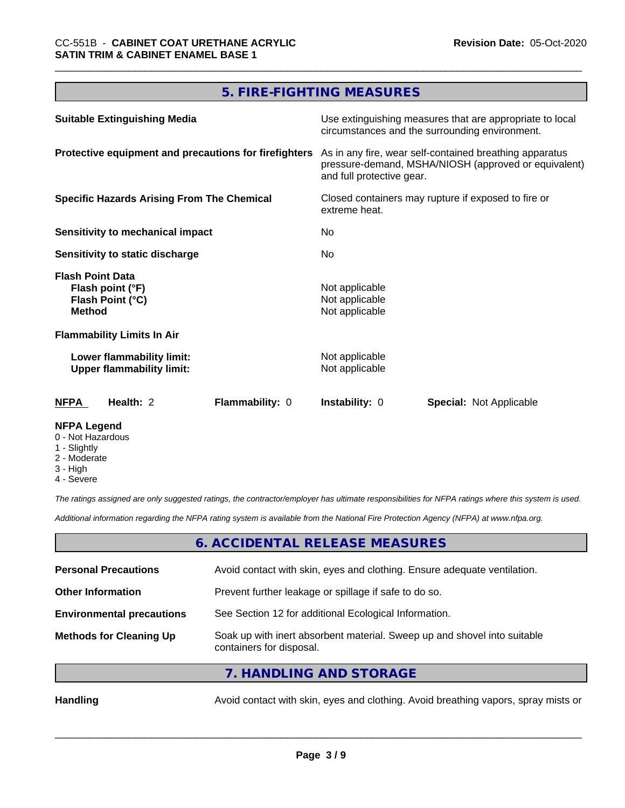# **5. FIRE-FIGHTING MEASURES**

| <b>Suitable Extinguishing Media</b>                                              | Use extinguishing measures that are appropriate to local<br>circumstances and the surrounding environment.                                   |
|----------------------------------------------------------------------------------|----------------------------------------------------------------------------------------------------------------------------------------------|
| Protective equipment and precautions for firefighters                            | As in any fire, wear self-contained breathing apparatus<br>pressure-demand, MSHA/NIOSH (approved or equivalent)<br>and full protective gear. |
| <b>Specific Hazards Arising From The Chemical</b>                                | Closed containers may rupture if exposed to fire or<br>extreme heat.                                                                         |
| Sensitivity to mechanical impact                                                 | No.                                                                                                                                          |
| Sensitivity to static discharge                                                  | No.                                                                                                                                          |
| <b>Flash Point Data</b><br>Flash point (°F)<br>Flash Point (°C)<br><b>Method</b> | Not applicable<br>Not applicable<br>Not applicable                                                                                           |
| <b>Flammability Limits In Air</b>                                                |                                                                                                                                              |
| Lower flammability limit:<br><b>Upper flammability limit:</b>                    | Not applicable<br>Not applicable                                                                                                             |
| <b>NFPA</b><br>Health: 2<br><b>Flammability: 0</b>                               | <b>Instability: 0</b><br><b>Special: Not Applicable</b>                                                                                      |
| <b>NFPA Legend</b>                                                               |                                                                                                                                              |

- 0 Not Hazardous
- 1 Slightly
- 2 Moderate
- 3 High
- 4 Severe

*The ratings assigned are only suggested ratings, the contractor/employer has ultimate responsibilities for NFPA ratings where this system is used.*

*Additional information regarding the NFPA rating system is available from the National Fire Protection Agency (NFPA) at www.nfpa.org.*

## **6. ACCIDENTAL RELEASE MEASURES**

| <b>Personal Precautions</b>      | Avoid contact with skin, eyes and clothing. Ensure adequate ventilation.                             |
|----------------------------------|------------------------------------------------------------------------------------------------------|
| <b>Other Information</b>         | Prevent further leakage or spillage if safe to do so.                                                |
| <b>Environmental precautions</b> | See Section 12 for additional Ecological Information.                                                |
| <b>Methods for Cleaning Up</b>   | Soak up with inert absorbent material. Sweep up and shovel into suitable<br>containers for disposal. |
|                                  |                                                                                                      |

**7. HANDLING AND STORAGE**

Handling **Handling** Avoid contact with skin, eyes and clothing. Avoid breathing vapors, spray mists or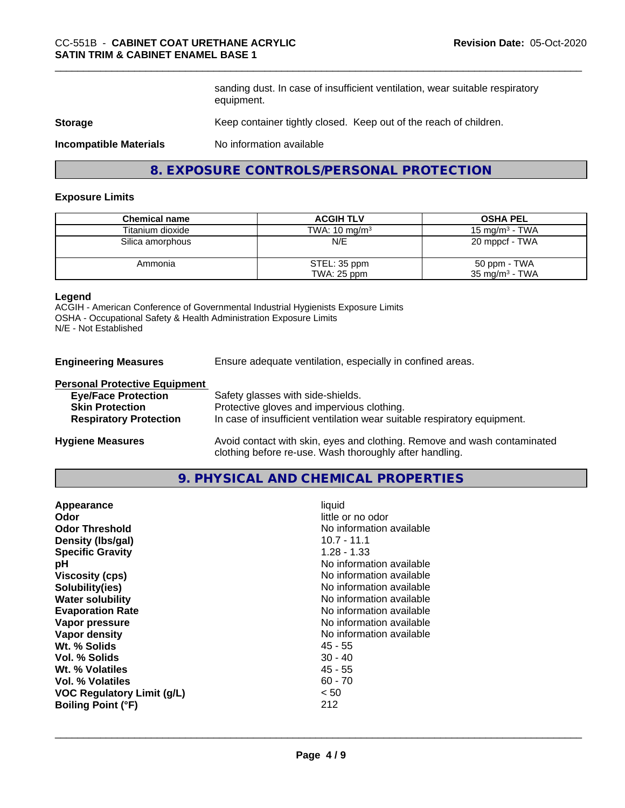sanding dust. In case of insufficient ventilation, wear suitable respiratory equipment.

#### **Storage** Keep container tightly closed. Keep out of the reach of children.

**Incompatible Materials** No information available

## **8. EXPOSURE CONTROLS/PERSONAL PROTECTION**

#### **Exposure Limits**

| <b>Chemical name</b> | <b>ACGIH TLV</b>         | <b>OSHA PEL</b>           |
|----------------------|--------------------------|---------------------------|
| Titanium dioxide     | TWA: $10 \text{ mg/m}^3$ | 15 mg/m $3$ - TWA         |
| Silica amorphous     | N/E                      | 20 mppcf - TWA            |
| Ammonia              | STEL: 35 ppm             | 50 ppm - TWA              |
|                      | TWA: 25 ppm              | $35 \text{ mg/m}^3$ - TWA |

## **Legend**

ACGIH - American Conference of Governmental Industrial Hygienists Exposure Limits OSHA - Occupational Safety & Health Administration Exposure Limits N/E - Not Established

**Engineering Measures** Ensure adequate ventilation, especially in confined areas.

clothing before re-use. Wash thoroughly after handling.

#### **Personal Protective Equipment**

| <b>Eye/Face Protection</b>    | Safety glasses with side-shields.                                        |
|-------------------------------|--------------------------------------------------------------------------|
| <b>Skin Protection</b>        | Protective gloves and impervious clothing.                               |
| <b>Respiratory Protection</b> | In case of insufficient ventilation wear suitable respiratory equipment. |
| <b>Hygiene Measures</b>       | Avoid contact with skin, eyes and clothing. Remove and wash contaminated |

## **9. PHYSICAL AND CHEMICAL PROPERTIES**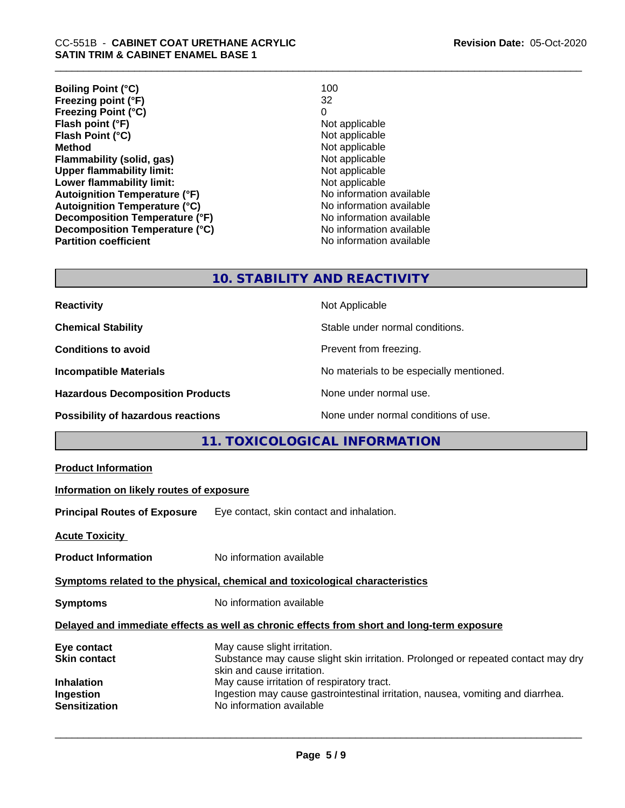**Boiling Point (°C)** 100<br> **Preezing point (°F)** 22 **Freezing point (°F)** 32 **Freezing Point (°C)** 0<br> **Flash point (°F)** 0<br>
Not applicable **Flash point (°F)**<br> **Flash Point (°C)**<br> **Flash Point (°C)**<br> **C Flash Point (°C)**<br>Method **Flammability (solid, gas)**<br> **Upper flammability limit:**<br>
Upper flammability limit: **Upper flammability limit:**<br> **Lower flammability limit:**<br>
Not applicable<br>
Not applicable **Lower flammability limit:**<br> **Autoignition Temperature (°F)** Not applicable Not applicable **Autoignition Temperature (°F)**<br> **Autoignition Temperature (°C)** No information available **Autoignition Temperature (°C) Decomposition Temperature (°F)** No information available **Decomposition Temperature (°C)** No information available **Revision Date:** 05-Oct-2020

**Not applicable**<br>**Not applicable No information available** 

## **10. STABILITY AND REACTIVITY**

| <b>Reactivity</b>                         | Not Applicable                           |
|-------------------------------------------|------------------------------------------|
| <b>Chemical Stability</b>                 | Stable under normal conditions.          |
| <b>Conditions to avoid</b>                | Prevent from freezing.                   |
| <b>Incompatible Materials</b>             | No materials to be especially mentioned. |
| <b>Hazardous Decomposition Products</b>   | None under normal use.                   |
| <b>Possibility of hazardous reactions</b> | None under normal conditions of use.     |

# **11. TOXICOLOGICAL INFORMATION**

| <b>Product Information</b>                                                                 |                                                                                                                                                                                               |  |
|--------------------------------------------------------------------------------------------|-----------------------------------------------------------------------------------------------------------------------------------------------------------------------------------------------|--|
| Information on likely routes of exposure                                                   |                                                                                                                                                                                               |  |
| <b>Principal Routes of Exposure</b>                                                        | Eye contact, skin contact and inhalation.                                                                                                                                                     |  |
| <b>Acute Toxicity</b>                                                                      |                                                                                                                                                                                               |  |
| <b>Product Information</b>                                                                 | No information available                                                                                                                                                                      |  |
|                                                                                            | Symptoms related to the physical, chemical and toxicological characteristics                                                                                                                  |  |
| <b>Symptoms</b>                                                                            | No information available                                                                                                                                                                      |  |
| Delayed and immediate effects as well as chronic effects from short and long-term exposure |                                                                                                                                                                                               |  |
| Eye contact<br><b>Skin contact</b><br><b>Inhalation</b>                                    | May cause slight irritation.<br>Substance may cause slight skin irritation. Prolonged or repeated contact may dry<br>skin and cause irritation.<br>May cause irritation of respiratory tract. |  |
| Ingestion<br><b>Sensitization</b>                                                          | Ingestion may cause gastrointestinal irritation, nausea, vomiting and diarrhea.<br>No information available                                                                                   |  |
|                                                                                            |                                                                                                                                                                                               |  |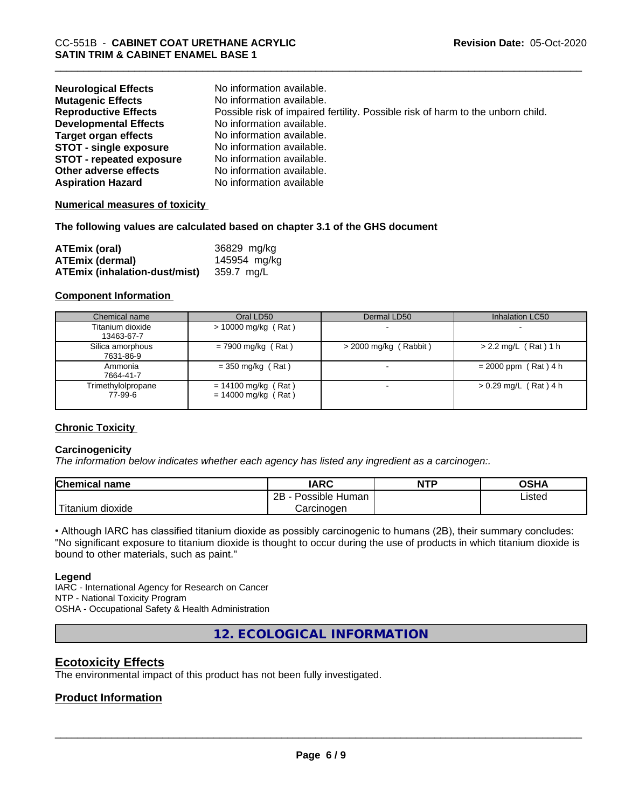| <b>Neurological Effects</b>     | No information available.                                                       |
|---------------------------------|---------------------------------------------------------------------------------|
| <b>Mutagenic Effects</b>        | No information available.                                                       |
| <b>Reproductive Effects</b>     | Possible risk of impaired fertility. Possible risk of harm to the unborn child. |
| <b>Developmental Effects</b>    | No information available.                                                       |
| <b>Target organ effects</b>     | No information available.                                                       |
| <b>STOT - single exposure</b>   | No information available.                                                       |
| <b>STOT - repeated exposure</b> | No information available.                                                       |
| Other adverse effects           | No information available.                                                       |
| <b>Aspiration Hazard</b>        | No information available                                                        |

## **Numerical measures of toxicity**

#### **The following values are calculated based on chapter 3.1 of the GHS document**

| ATEmix (oral)                        | 36829 mg/kg  |
|--------------------------------------|--------------|
| <b>ATEmix (dermal)</b>               | 145954 mg/kg |
| <b>ATEmix (inhalation-dust/mist)</b> | 359.7 mg/L   |

#### **Component Information**

| Chemical name                  | Oral LD50                                      | Dermal LD50             | Inhalation LC50         |
|--------------------------------|------------------------------------------------|-------------------------|-------------------------|
| Titanium dioxide<br>13463-67-7 | $> 10000$ mg/kg (Rat)                          |                         |                         |
| Silica amorphous<br>7631-86-9  | $= 7900$ mg/kg (Rat)                           | $>$ 2000 mg/kg (Rabbit) | $> 2.2$ mg/L (Rat) 1 h  |
| Ammonia<br>7664-41-7           | $=$ 350 mg/kg (Rat)                            |                         | $= 2000$ ppm (Rat) 4 h  |
| Trimethylolpropane<br>77-99-6  | $= 14100$ mg/kg (Rat)<br>$= 14000$ mg/kg (Rat) |                         | $> 0.29$ mg/L (Rat) 4 h |

## **Chronic Toxicity**

## **Carcinogenicity**

*The information below indicateswhether each agency has listed any ingredient as a carcinogen:.*

| <b>Chemical name</b>          | <b>IARC</b>          | <b>NTP</b> | <b>OSHA</b>    |
|-------------------------------|----------------------|------------|----------------|
|                               | 2B<br>Possible Human |            | Listed<br>____ |
| .<br>n dioxide.<br>. Titanıum | Carcinogen           |            |                |

• Although IARC has classified titanium dioxide as possibly carcinogenic to humans (2B), their summary concludes: "No significant exposure to titanium dioxide is thought to occur during the use of products in which titanium dioxide is bound to other materials, such as paint."

#### **Legend**

IARC - International Agency for Research on Cancer NTP - National Toxicity Program OSHA - Occupational Safety & Health Administration

**12. ECOLOGICAL INFORMATION**

## **Ecotoxicity Effects**

The environmental impact of this product has not been fully investigated.

## **Product Information**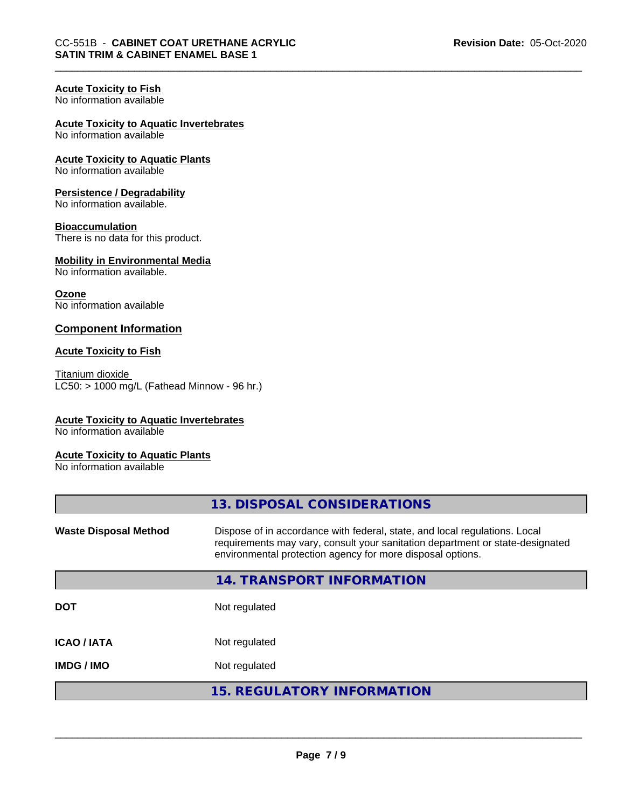## **Acute Toxicity to Fish**

No information available

## **Acute Toxicity to Aquatic Invertebrates**

No information available

#### **Acute Toxicity to Aquatic Plants** No information available

## **Persistence / Degradability**

No information available.

## **Bioaccumulation**

There is no data for this product.

#### **Mobility in Environmental Media** No information available.

**Ozone** No information available

## **Component Information**

## **Acute Toxicity to Fish**

Titanium dioxide  $LC50:$  > 1000 mg/L (Fathead Minnow - 96 hr.)

## **Acute Toxicity to Aquatic Invertebrates**

No information available

## **Acute Toxicity to Aquatic Plants**

No information available

|                              | 13. DISPOSAL CONSIDERATIONS                                                                                                                                                                                               |
|------------------------------|---------------------------------------------------------------------------------------------------------------------------------------------------------------------------------------------------------------------------|
| <b>Waste Disposal Method</b> | Dispose of in accordance with federal, state, and local regulations. Local<br>requirements may vary, consult your sanitation department or state-designated<br>environmental protection agency for more disposal options. |
|                              | 14. TRANSPORT INFORMATION                                                                                                                                                                                                 |
| <b>DOT</b>                   | Not regulated                                                                                                                                                                                                             |
| <b>ICAO/IATA</b>             | Not regulated                                                                                                                                                                                                             |
| <b>IMDG/IMO</b>              | Not regulated                                                                                                                                                                                                             |
|                              | <b>15. REGULATORY INFORMATION</b>                                                                                                                                                                                         |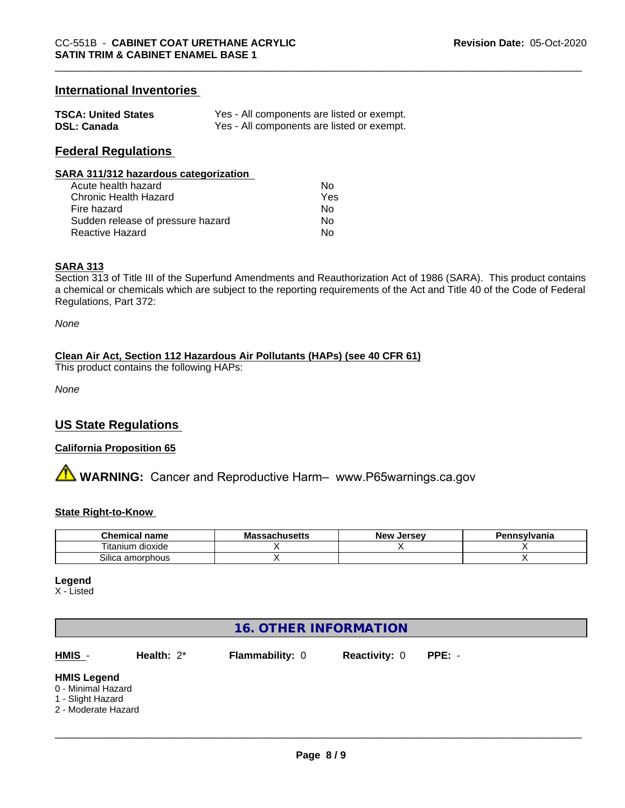## **International Inventories**

| <b>TSCA: United States</b> | Yes - All components are listed or exempt. |
|----------------------------|--------------------------------------------|
| <b>DSL: Canada</b>         | Yes - All components are listed or exempt. |

## **Federal Regulations**

#### **SARA 311/312 hazardous categorization**

| Acute health hazard               | Nο  |
|-----------------------------------|-----|
| Chronic Health Hazard             | Yes |
| Fire hazard                       | Nο  |
| Sudden release of pressure hazard | N٥  |
| Reactive Hazard                   | N٥  |

#### **SARA 313**

Section 313 of Title III of the Superfund Amendments and Reauthorization Act of 1986 (SARA). This product contains a chemical or chemicals which are subject to the reporting requirements of the Act and Title 40 of the Code of Federal Regulations, Part 372:

*None*

#### **Clean Air Act,Section 112 Hazardous Air Pollutants (HAPs) (see 40 CFR 61)**

This product contains the following HAPs:

*None*

## **US State Regulations**

## **California Proposition 65**

**A WARNING:** Cancer and Reproductive Harm– www.P65warnings.ca.gov

#### **State Right-to-Know**

| <b>Chemical name</b>   | Mas<br>ssachusetts | <b>Jersev</b><br>New | Pennsvlvania |
|------------------------|--------------------|----------------------|--------------|
| ı dioxide<br>l itanium |                    |                      |              |
| Silica<br>ເ amorphous  |                    |                      |              |

**Legend**

X - Listed

## **16. OTHER INFORMATION**

**HMIS** - **Health:** 2\* **Flammability:** 0 **Reactivity:** 0 **PPE:** -

 $\overline{\phantom{a}}$  ,  $\overline{\phantom{a}}$  ,  $\overline{\phantom{a}}$  ,  $\overline{\phantom{a}}$  ,  $\overline{\phantom{a}}$  ,  $\overline{\phantom{a}}$  ,  $\overline{\phantom{a}}$  ,  $\overline{\phantom{a}}$  ,  $\overline{\phantom{a}}$  ,  $\overline{\phantom{a}}$  ,  $\overline{\phantom{a}}$  ,  $\overline{\phantom{a}}$  ,  $\overline{\phantom{a}}$  ,  $\overline{\phantom{a}}$  ,  $\overline{\phantom{a}}$  ,  $\overline{\phantom{a}}$ 

#### **HMIS Legend**

- 0 Minimal Hazard
- 1 Slight Hazard
- 2 Moderate Hazard